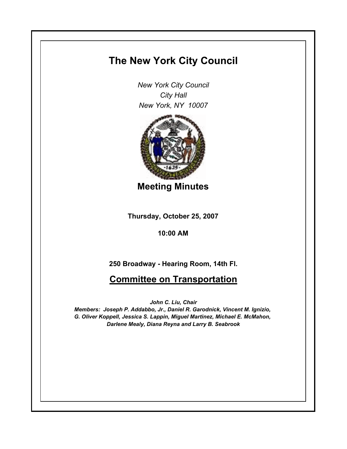## **The New York City Council**

*New York City Council City Hall New York, NY 10007*



**Meeting Minutes**

**Thursday, October 25, 2007**

**10:00 AM**

**250 Broadway - Hearing Room, 14th Fl.**

**Committee on Transportation**

*John C. Liu, Chair*

*Members: Joseph P. Addabbo, Jr., Daniel R. Garodnick, Vincent M. Ignizio, G. Oliver Koppell, Jessica S. Lappin, Miguel Martinez, Michael E. McMahon, Darlene Mealy, Diana Reyna and Larry B. Seabrook*